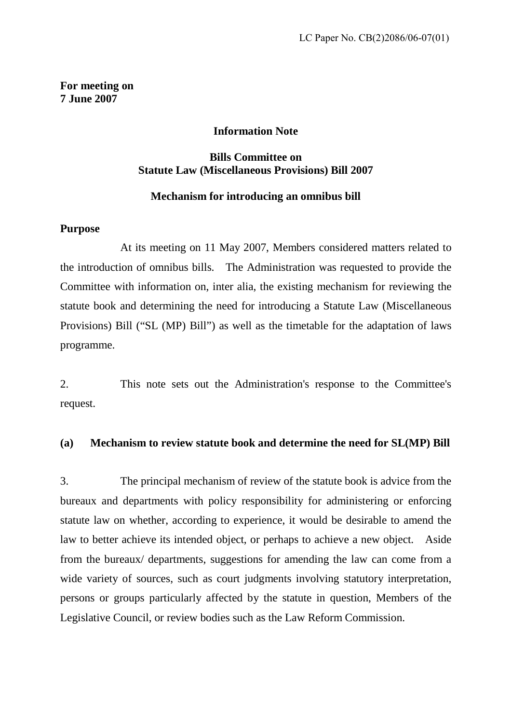**For meeting on 7 June 2007** 

### **Information Note**

# **Bills Committee on Statute Law (Miscellaneous Provisions) Bill 2007**

#### **Mechanism for introducing an omnibus bill**

### **Purpose**

At its meeting on 11 May 2007, Members considered matters related to the introduction of omnibus bills. The Administration was requested to provide the Committee with information on, inter alia, the existing mechanism for reviewing the statute book and determining the need for introducing a Statute Law (Miscellaneous Provisions) Bill ("SL (MP) Bill") as well as the timetable for the adaptation of laws programme.

2. This note sets out the Administration's response to the Committee's request.

# **(a) Mechanism to review statute book and determine the need for SL(MP) Bill**

3. The principal mechanism of review of the statute book is advice from the bureaux and departments with policy responsibility for administering or enforcing statute law on whether, according to experience, it would be desirable to amend the law to better achieve its intended object, or perhaps to achieve a new object. Aside from the bureaux/ departments, suggestions for amending the law can come from a wide variety of sources, such as court judgments involving statutory interpretation, persons or groups particularly affected by the statute in question, Members of the Legislative Council, or review bodies such as the Law Reform Commission.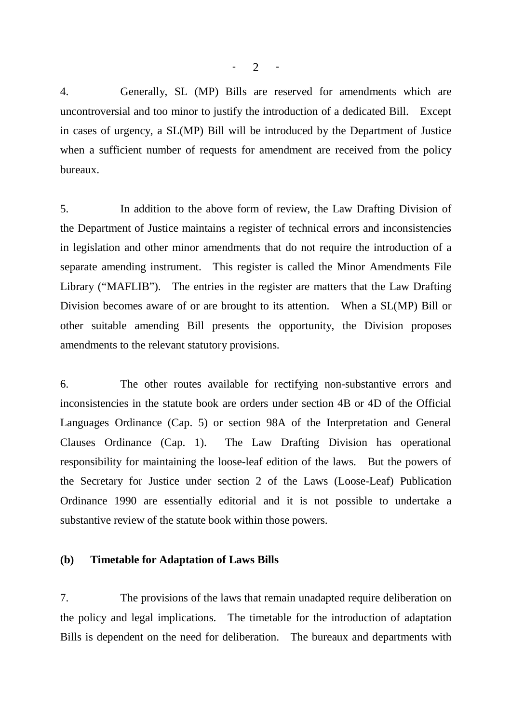4. Generally, SL (MP) Bills are reserved for amendments which are uncontroversial and too minor to justify the introduction of a dedicated Bill. Except in cases of urgency, a SL(MP) Bill will be introduced by the Department of Justice when a sufficient number of requests for amendment are received from the policy bureaux.

5. In addition to the above form of review, the Law Drafting Division of the Department of Justice maintains a register of technical errors and inconsistencies in legislation and other minor amendments that do not require the introduction of a separate amending instrument. This register is called the Minor Amendments File Library ("MAFLIB"). The entries in the register are matters that the Law Drafting Division becomes aware of or are brought to its attention. When a SL(MP) Bill or other suitable amending Bill presents the opportunity, the Division proposes amendments to the relevant statutory provisions.

6. The other routes available for rectifying non-substantive errors and inconsistencies in the statute book are orders under section 4B or 4D of the Official Languages Ordinance (Cap. 5) or section 98A of the Interpretation and General Clauses Ordinance (Cap. 1). The Law Drafting Division has operational responsibility for maintaining the loose-leaf edition of the laws. But the powers of the Secretary for Justice under section 2 of the Laws (Loose-Leaf) Publication Ordinance 1990 are essentially editorial and it is not possible to undertake a substantive review of the statute book within those powers.

#### **(b) Timetable for Adaptation of Laws Bills**

7. The provisions of the laws that remain unadapted require deliberation on the policy and legal implications. The timetable for the introduction of adaptation Bills is dependent on the need for deliberation. The bureaux and departments with